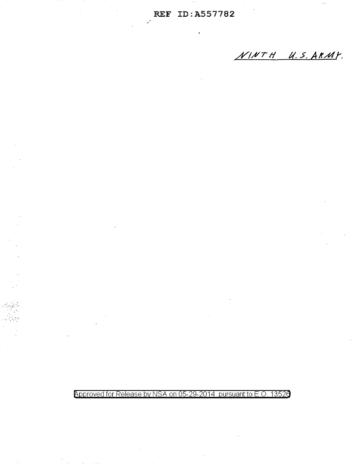$\mathcal{L}$ 

NINTH U.S. ARMY.

# Approved for Release by NSA on 05-29-2014 pursuant to E.O. 13526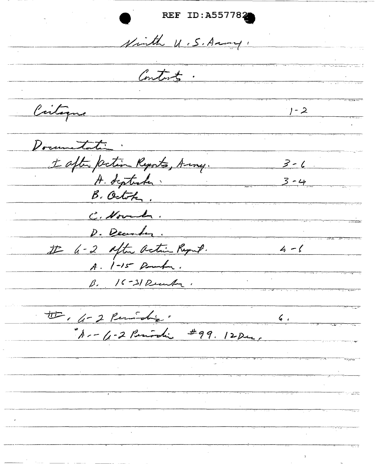REF ID: A557782 Ninth U.S. Anny, Contacts. Cartagne  $1 - 2$ Documentation : Lafter petin Reports, Anny. 3-6 B. October. C. Novela, D. December. I - 2 after action Report. 4-6 A. 1-15 Rowha. B. 16-31 Recular. tte, 4-2 Ruidig.  $6.1$  $A - 4 - 2 R_{initial}$  #99. 12 Dec.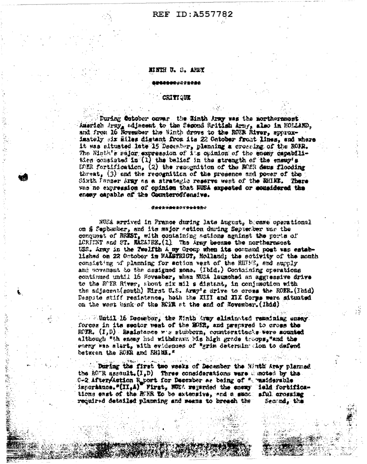# **REF ID:A557782**

### NINTH U. S. AREY

#### **\*\*\*\*\***\*\*\*\*\*\*

#### **CRITIGUE**

During October onwar the Kinth Arsy was the morthernmout Americh Arzy, adjacent to the Sagond Sritish Army, sleo in HOLLAND. and from 16 Rowsster the Ninth draws to the ROER River, sporoximately six Eiles distant from its 22 October front lines, and where it was situated late 15 December, planning a crossing of the ROMR. The Ninth's saior expression of its opinion of the enemy capabilities consisted in (1) the belief in the strength of the enemy's IMER fortification, (2) the resognition of the RMER dams flooding threat, (3) and the recognition of the presence and power of the Sixth Panzer Army as a strategic reserve west of the EHINE. There was no expression of opinion that NUSA expected or sonsidered the enemy capable of the Counteroffensive.

#### \*\*\*\*\*\*\*\*\*\*\*\*\*\*\*\*

NUMA arrived in France during late August, becase operational on & Sephunber, and its major action during September was the conquest of BREST, with containing actions against the ports of LORIENT and ST. MAZAJRE. (1) The Army became the northernsoet USS. Aray in the Twelfth A my Group when its command post was established on 22 October in NAISTRICT, Holland; the sotivity of the month consisting of planning for action west of the RIME, and supply and povement to the nesigned sone. (Ibid.) Containing operations continued until 16 Sovember, when NUSA launched an aggressive drive to the ROFR River, sbout six mil a distant, in conjumption with the adjacent (south) Rigst U.S. Army's drive to cross the ROER. (Ibid) Despite stiff resistance, hoth the XIII and XIX Corps were aituated on the west bank of the ROB at the end of November. (1816)

11. Withtill 16 December, the Ninth Army eliminated remaining energy. forces in its sector west of the EOER, and prepared to cross the ROZR.  $(I, D)$  Resistance we stubborn, counterattacks were sounted although \*th enemy had withdrawn his high grade traops, \*and the enemy was alert, with evidences of "grim determing don to defend between the ROMA and RHIMA."

. During the first two weeks of December the Hinth Aray planned the ROTR asseult. (I.D) Three considerations were cunoted by the 0-2 After/Astion R port for Describer as being of " maiderable importance."(II,A) First, NUSA reparded the cosmy feld fortifications east of the RUER To be extensive, and a succ. sful crossing required detailed planning and means to breach the Second, the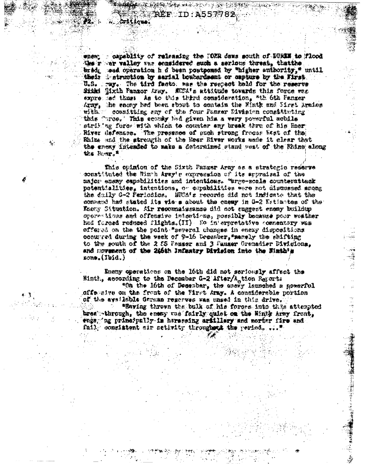- capablity of releasing the IOER dams south of DUREM to Flood **WEBSTER** the r wer valley was sensidered such a serious threat. thatthe bridg saad oparation h d heen postponsd by "higher authority," until their destruction by sarial houterdeent or capture by the First. U.S. Away. The tird facto: was the respect hold for the reserve Sithi Sixth Panzor Army. NUSA's attitude towards this force was expressed thus as to this third consideration, "th oth Panzer Araw. the encay had been sbout to contain the Ninth and Sirai Araica with. cosmitting any of the four Pauser Division consittuting this "tree." This econty had given him a very powerful nobile striking fores with which to counter any break thru of his Hosr; River defenses. The presence of such strong fromes Rest of the Rhine and the strength of the Reer River works made it clear that the enemy intended to make a determined stand west of the Rhize along the Rose

**CASE SEARCH AND AND ALLES** 

 $\mathtt{REF}\text{ } \mathtt{ID}:\mathtt{A}$ 

**Criticus:** 

This opinion of the Sixth Panger Army as a strategic regerve constituted the Ningh Aray's supression of its appraisal of the major enemy capsbilities and intentions. "arge-scale counterattack potentialities. intentions, or capabilities were not discussed among the daily G-2 Periodics. WHOM's records did not indicate that the convend had stated its vie-s about the enemy in G-2 Estimates of the Kaeny Situation. Air reconnaissance did not suggest enemy buildup opernations and offensive intentions, possibly because poor weather had forced reduced flights. (II) No in'erpretative commentary was offered on the the point "several changes in enexy dispositions occurred during the week of 9-16 December, "manely the shifting to the south of the 2 fS Pauser and 3 Pauser Grenadier Divisions, and movement of the 246th Infantry Division into the Nimth's zone.(Ibid.)

Enemy operations on the loth did not seriously affect the Minth, according to the December G-2 After/A tion Reports "On the loth of December, the energ launched a gewerful offensive on the front of the First Army. A considerable portion of the sysilable Garman regorves was unsed in this drive. "Having thrown the bulk of his forces into this attempted breat-through, the enexy was fairly quict on the Hinty Army front. thgs, in principally is harassing ariillery and morthr fire and fail, consistent sir activity throughout the period. ...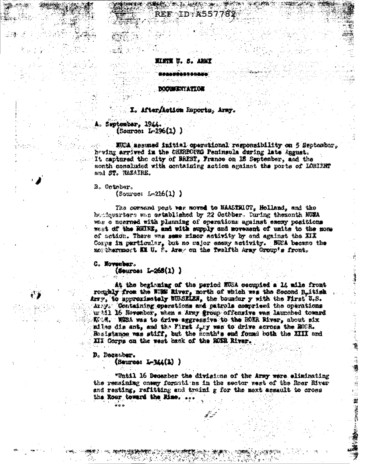#### 宜宜文 7. В. **AN'I**

\*\*\*\*\*\*\*\*\*\*\*\*

**REF ID A557** 

#### **DOCUMENTATION**

## I. After/Action Emports, Army.

## September, 1944.  $(5<sub>6</sub>0<sub>0</sub>1<sub>0</sub>, 1<sub>1</sub>2<sub>0</sub>(1))$

NUCA assumed initial operational responsibility on 5 September. howing arrived in the CHERBOURG Peninsula during late Angust. It captured the city of BREST, France on 18 September. and the month concluded with containing action against the ports of LORIENT and ST. HAZAIRE.

B. Ontrber.

 $Source: J<sub>0</sub>216(1)$  )

The corrend post war moved to MAASTRICT, Holland, and the houdquarters was established by 22 October. During themonth NUMA was o neerned with planning of operations against excay positions west of the RHINE, and with supply and movement of units to the none of action. There was seme rinor activity by and against the XIX Corps in particular, but no major snexy activity. HUCA became the morthernmost KK U. S. Army on the Twelfth Army Croup's fronts

## C. November.

 $(5 + 265(1))$ 

At the beginning of the period NUSA cocupied a 14 mile front roughly from the WDM River, north of which was the Second Buitish Arry, to approximately BURSELEN, the boundar y with the First U.S. Army. Containing operations and patrols comprised the operations until 16 November, when a Army group offensive was launched toward KUM. NWA waa to drive aggressive to the ROKK River, about six milas dis ant, and the First Agry was to drive across the BODR. Rusistance was stiff, but the month's end found both the XIII and III Corps on the west bank of the ROSA River.

## D. Desember.

 $\{Sauros: L-ML(1) \}$ 

"Until 16 December the divisions of the Army were eliminating the remaining onesy formutions in the sector west of the Roer River and resting, refitting and traini g for the next assault to cross the Rour teward the Mine, ..

鬄

活塞管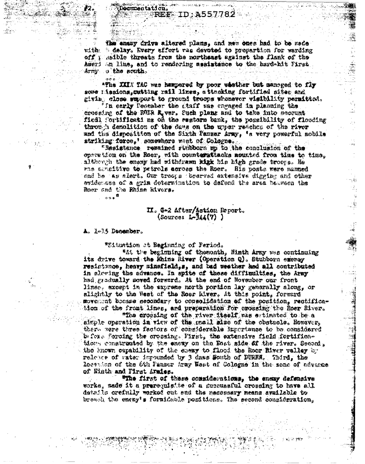the ansay drive altered plans, and new ones had to be mede 6 delay. Every effort was devoted to prepartion for warding with . off : saible threats from the northeast against the flank of the Ageri an line, and to rendering assistance to the bard-hit First Army o the south.

ID:A557

osmontation.

**REF** 

"The XXIX TAC was hampered by poor whether but sameged to fly some rissions, cutting rail lines, a thanking fortified sites and giving close support to ground troops whenever visibility permitted. i<br>il

'In early December the staff was engaged in planning the crossing of the ROER K, ver, Such plans and to take into secount fiedl fortificati as on the sentern bank, the possibility of flooding through demalition of the days on the upper reaches of the river and the disposition of the Sixth Panaer Army, 'a very powerful mobile striking force,' somewhore west of Cologne.

"Resistance ressined riubborn mp to the conclusion of the operstion on the Rosr, with counternitacks nounted from time to time, although the enemy had withdrawn high his high grade troops. He was arefitive to petrols across the Roer. His posts were manned and he as alert. Our troops brearved extensive digging and other evidences of a grim determination to defend the area between the Roer and the Rhine Rivers.

 $0.08$ 

 $000$ 

# II. G-2 After/Aution Report.  $\{Source: L-34(7) \}$

A. 1-15 December.

"Situation at Beginning of Period.

and the beginning of themonth, Hinth Army was continuing its drive toward the Rhine River (Operation Q). Stubborn exempy resistance, heavy minafield, s, and had weather had all contributed in slowing the advance. In spite of these difficulties, the Army had gradually moved forward. At the end of November our front lines. except in the express north portion lay generally along, or alightly to the West of the Rosr Kiver. At this point, forward movement became secondary to consolidation of the position, rectification of the front lines, and preparation for crossing the Roer River.

"The crossing of the river itself was estimated to be a simple operation in view of the grail size of the obstacle. However, there were three factors of considerable importance to be considered bafore forcing the crossing. First, the extensive field fortifications constructed by the enery on the Eost side of the river. Second. the known supability of the energ to flood the Roor River valley by relesse of vater impounded by 3 dass South of DURES. Third, the leestion of the 6th Panser Aray West of Cologne in the zone of advance of Einth and Pirst Armies.

Whe first of these considerations, the encay defensive works, made it a prerequisite of a succussful crossing to have all details orefully worked out and the nacessary means available to breach the energ's formidable positions. The second consideration,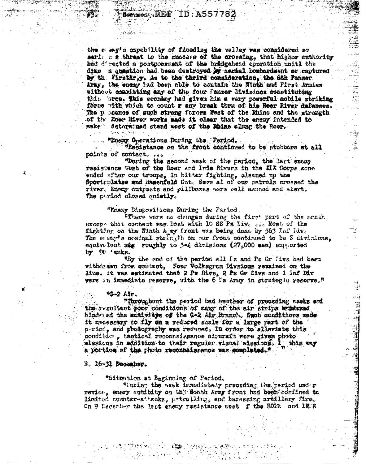the elemy's capability of flooding the valley was considered so serit a a threat to the success of the crossing, that higher authority had d'esoted a postgonement of the bradgehead operation unitl the dens a question had been destroyed by aeried bosterdaent or captured by the Firsthray. As to the thrird consideration, the 6th Panser Aray, the enear had been able to contain the Ninth and Pirst Armics without committing any of the four Panzer Divisions constituteng thin bros. This sconday had given him a very powerful mobile striking force with which to count r any break thru of his Roer River defenses. The p peenes of such strong forces west of the Bhine and the strength of the Hoer River works made it clear that the energ intended to make determined stand west of the Rhine along the Moer.

這

i<br>Kiti<br>Kiti

磷

#### "Enemy Operations During the Period.

"Resistance on the front continued to be stubbors at all points of contact. ...

"During the second weak of the period, the last enemy resistance West of the Roer and Inde Rivers in the XIX Corps sone ended after our troops, in bitter fighting, cleaned up the Sportiblatse and Hasenfeld Cut. Seve al of our patrols crossed the river. Enemy catposts and pillbaxes were well manned and alert. The pariod closed quietly.

# "Enery Dispositions During the Period.

"There were no changes during the first part of the sonth. ercept that contact was lest with 10 SS Ps live con Most of the fighting on the Ninth A my front was being done by 363 Inf Div. The every's nominal strength on our front continued to be 3 divisions. equivalent xag roughly to 3-4 divisions (27.000 men) supported by 90 tanks.

"Ey the end of the period all In and Pz Gr Tivs had been withdrawn from contact, Four Volksgron Divsions remained on the line. It was estimated that 2 Ps Divs, 2 Ps Or Divs and 1 Inf Div were in immediate reserve, with the 6 Pa Aray in strategic resorve."

#### \*4-2 Air.

Æ.

"Throughout the reriod bad weather of preceding weeks and the resultant poor conditions of many of the air strips by farma hindered the activitie of the G-2 Air Branch. Such conditions made it necessary to fly on a reduced scale for a large part of the p-rice, and photography was reduced. In order to alleviate this condition, tactical reconnaissance atreraft were given photo missions in addition to their regular visual missions. I this way a portion of the photo reconnaishance was completed."

## B. 16-31 December.

\*Situntion at Beginning of Period.

\*Iuring the week immediately preceding the period under review, enemy actibity on the Nonth Army front had been confined to lisited counter-attacks, patrolling, and harassing artillery fire. On 9 Lecenber the last enexy resistance west f the ROFR and INEE